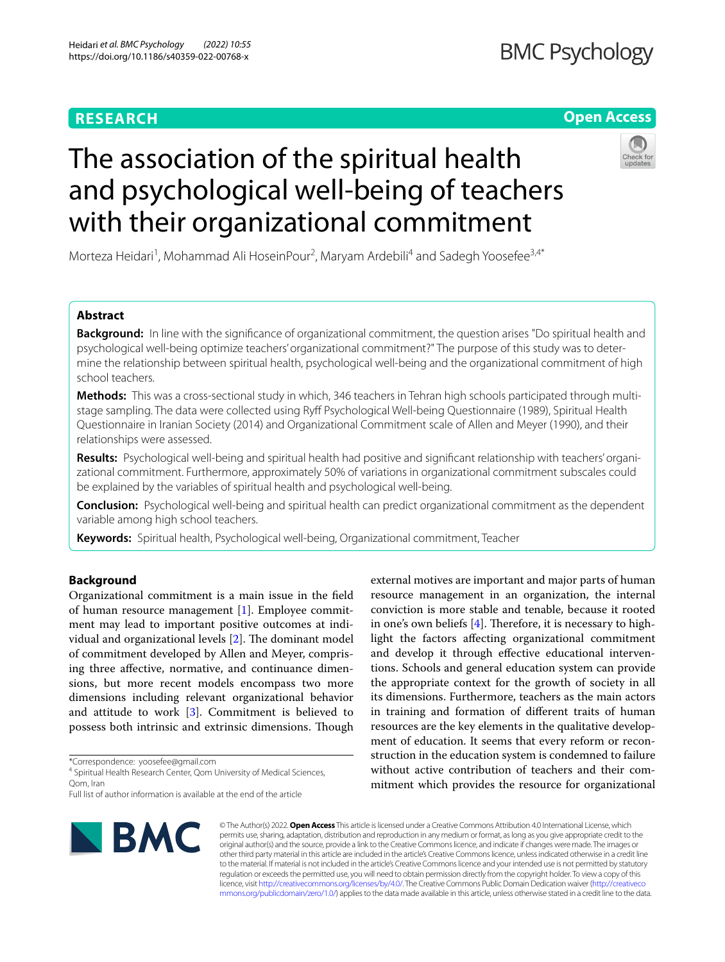## **RESEARCH**

## **Open Access**

# The association of the spiritual health and psychological well-being of teachers with their organizational commitment

Morteza Heidari<sup>1</sup>, Mohammad Ali HoseinPour<sup>2</sup>, Maryam Ardebili<sup>4</sup> and Sadegh Yoosefee<sup>3,4\*</sup>

## **Abstract**

**Background:** In line with the significance of organizational commitment, the question arises "Do spiritual health and psychological well-being optimize teachers' organizational commitment?" The purpose of this study was to determine the relationship between spiritual health, psychological well-being and the organizational commitment of high school teachers.

**Methods:** This was a cross-sectional study in which, 346 teachers in Tehran high schools participated through multistage sampling. The data were collected using Ryf Psychological Well-being Questionnaire (1989), Spiritual Health Questionnaire in Iranian Society (2014) and Organizational Commitment scale of Allen and Meyer (1990), and their relationships were assessed.

**Results:** Psychological well-being and spiritual health had positive and signifcant relationship with teachers' organizational commitment. Furthermore, approximately 50% of variations in organizational commitment subscales could be explained by the variables of spiritual health and psychological well-being.

**Conclusion:** Psychological well-being and spiritual health can predict organizational commitment as the dependent variable among high school teachers.

**Keywords:** Spiritual health, Psychological well-being, Organizational commitment, Teacher

## **Background**

Organizational commitment is a main issue in the feld of human resource management [\[1](#page-5-0)]. Employee commitment may lead to important positive outcomes at individual and organizational levels  $[2]$  $[2]$ . The dominant model of commitment developed by Allen and Meyer, comprising three afective, normative, and continuance dimensions, but more recent models encompass two more dimensions including relevant organizational behavior and attitude to work  $[3]$  $[3]$ . Commitment is believed to possess both intrinsic and extrinsic dimensions. Though

\*Correspondence: yoosefee@gmail.com

<sup>4</sup> Spiritual Health Research Center, Qom University of Medical Sciences, Qom, Iran

Full list of author information is available at the end of the article



external motives are important and major parts of human resource management in an organization, the internal conviction is more stable and tenable, because it rooted in one's own beliefs  $[4]$  $[4]$ . Therefore, it is necessary to highlight the factors afecting organizational commitment and develop it through efective educational interventions. Schools and general education system can provide the appropriate context for the growth of society in all its dimensions. Furthermore, teachers as the main actors in training and formation of diferent traits of human resources are the key elements in the qualitative development of education. It seems that every reform or reconstruction in the education system is condemned to failure without active contribution of teachers and their commitment which provides the resource for organizational

© The Author(s) 2022. **Open Access** This article is licensed under a Creative Commons Attribution 4.0 International License, which permits use, sharing, adaptation, distribution and reproduction in any medium or format, as long as you give appropriate credit to the original author(s) and the source, provide a link to the Creative Commons licence, and indicate if changes were made. The images or other third party material in this article are included in the article's Creative Commons licence, unless indicated otherwise in a credit line to the material. If material is not included in the article's Creative Commons licence and your intended use is not permitted by statutory regulation or exceeds the permitted use, you will need to obtain permission directly from the copyright holder. To view a copy of this licence, visit [http://creativecommons.org/licenses/by/4.0/.](http://creativecommons.org/licenses/by/4.0/) The Creative Commons Public Domain Dedication waiver ([http://creativeco](http://creativecommons.org/publicdomain/zero/1.0/) [mmons.org/publicdomain/zero/1.0/](http://creativecommons.org/publicdomain/zero/1.0/)) applies to the data made available in this article, unless otherwise stated in a credit line to the data.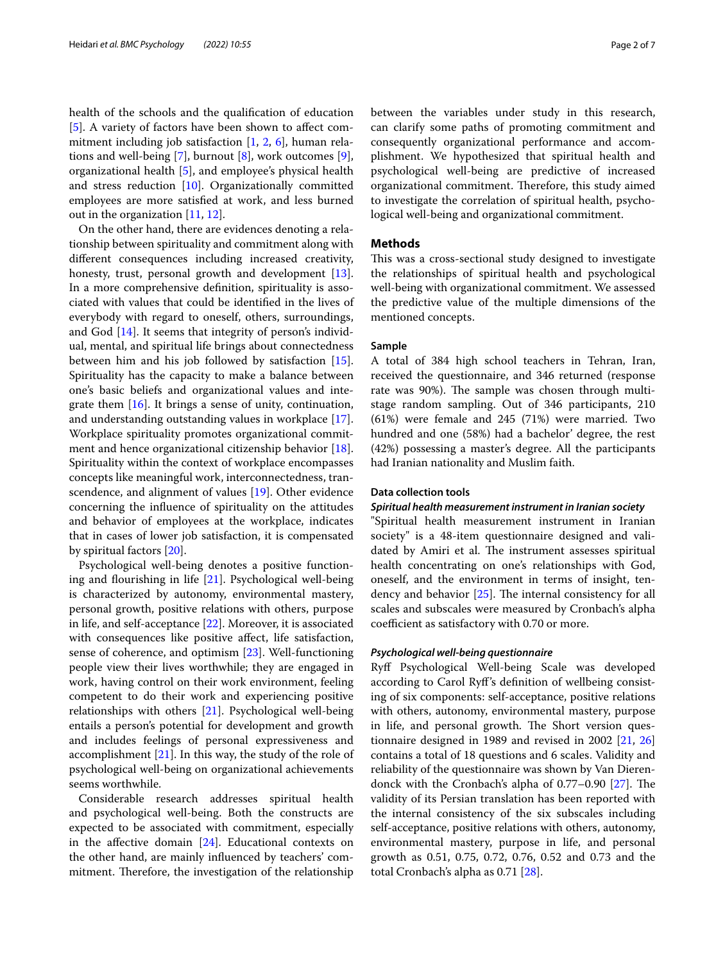health of the schools and the qualifcation of education [[5\]](#page-5-4). A variety of factors have been shown to affect commitment including job satisfaction [[1,](#page-5-0) [2,](#page-5-1) [6](#page-5-5)], human relations and well-being [[7\]](#page-5-6), burnout [\[8](#page-5-7)], work outcomes [\[9](#page-5-8)], organizational health [\[5\]](#page-5-4), and employee's physical health and stress reduction [\[10](#page-5-9)]. Organizationally committed employees are more satisfed at work, and less burned out in the organization [[11](#page-5-10), [12\]](#page-5-11).

On the other hand, there are evidences denoting a relationship between spirituality and commitment along with diferent consequences including increased creativity, honesty, trust, personal growth and development [\[13](#page-5-12)]. In a more comprehensive defnition, spirituality is associated with values that could be identifed in the lives of everybody with regard to oneself, others, surroundings, and God [\[14\]](#page-5-13). It seems that integrity of person's individual, mental, and spiritual life brings about connectedness between him and his job followed by satisfaction [\[15](#page-5-14)]. Spirituality has the capacity to make a balance between one's basic beliefs and organizational values and integrate them [\[16](#page-5-15)]. It brings a sense of unity, continuation, and understanding outstanding values in workplace [\[17](#page-5-16)]. Workplace spirituality promotes organizational commitment and hence organizational citizenship behavior [\[18](#page-5-17)]. Spirituality within the context of workplace encompasses concepts like meaningful work, interconnectedness, transcendence, and alignment of values [[19\]](#page-5-18). Other evidence concerning the infuence of spirituality on the attitudes and behavior of employees at the workplace, indicates that in cases of lower job satisfaction, it is compensated by spiritual factors [\[20\]](#page-5-19).

Psychological well-being denotes a positive functioning and fourishing in life [\[21](#page-5-20)]. Psychological well-being is characterized by autonomy, environmental mastery, personal growth, positive relations with others, purpose in life, and self-acceptance [[22](#page-5-21)]. Moreover, it is associated with consequences like positive afect, life satisfaction, sense of coherence, and optimism [\[23](#page-5-22)]. Well-functioning people view their lives worthwhile; they are engaged in work, having control on their work environment, feeling competent to do their work and experiencing positive relationships with others [[21\]](#page-5-20). Psychological well-being entails a person's potential for development and growth and includes feelings of personal expressiveness and accomplishment  $[21]$  $[21]$ . In this way, the study of the role of psychological well-being on organizational achievements seems worthwhile.

Considerable research addresses spiritual health and psychological well-being. Both the constructs are expected to be associated with commitment, especially in the affective domain  $[24]$  $[24]$  $[24]$ . Educational contexts on the other hand, are mainly infuenced by teachers' commitment. Therefore, the investigation of the relationship between the variables under study in this research, can clarify some paths of promoting commitment and consequently organizational performance and accomplishment. We hypothesized that spiritual health and psychological well-being are predictive of increased organizational commitment. Therefore, this study aimed to investigate the correlation of spiritual health, psychological well-being and organizational commitment.

### **Methods**

This was a cross-sectional study designed to investigate the relationships of spiritual health and psychological well-being with organizational commitment. We assessed the predictive value of the multiple dimensions of the mentioned concepts.

#### **Sample**

A total of 384 high school teachers in Tehran, Iran, received the questionnaire, and 346 returned (response rate was 90%). The sample was chosen through multistage random sampling. Out of 346 participants, 210 (61%) were female and 245 (71%) were married. Two hundred and one (58%) had a bachelor' degree, the rest (42%) possessing a master's degree. All the participants had Iranian nationality and Muslim faith.

#### **Data collection tools**

#### *Spiritual health measurement instrument in Iranian society*

"Spiritual health measurement instrument in Iranian society" is a 48-item questionnaire designed and validated by Amiri et al. The instrument assesses spiritual health concentrating on one's relationships with God, oneself, and the environment in terms of insight, tendency and behavior  $[25]$ . The internal consistency for all scales and subscales were measured by Cronbach's alpha coefficient as satisfactory with 0.70 or more.

#### *Psychological well‑being questionnaire*

Ryf Psychological Well-being Scale was developed according to Carol Ryf's defnition of wellbeing consisting of six components: self-acceptance, positive relations with others, autonomy, environmental mastery, purpose in life, and personal growth. The Short version questionnaire designed in 1989 and revised in 2002 [[21,](#page-5-20) [26](#page-5-25)] contains a total of 18 questions and 6 scales. Validity and reliability of the questionnaire was shown by Van Dierendonck with the Cronbach's alpha of  $0.77-0.90$  [\[27](#page-5-26)]. The validity of its Persian translation has been reported with the internal consistency of the six subscales including self-acceptance, positive relations with others, autonomy, environmental mastery, purpose in life, and personal growth as 0.51, 0.75, 0.72, 0.76, 0.52 and 0.73 and the total Cronbach's alpha as 0.71 [[28\]](#page-5-27).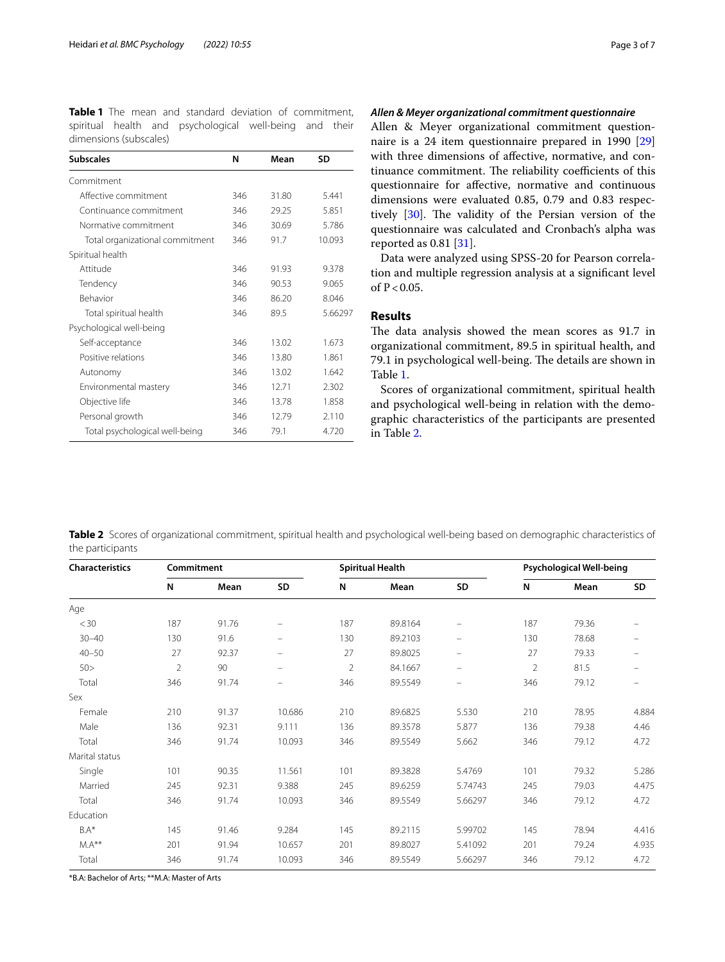<span id="page-2-0"></span>**Table 1** The mean and standard deviation of commitment, spiritual health and psychological well-being and their dimensions (subscales)

| <b>Subscales</b>                | N   | Mean  | <b>SD</b> |  |
|---------------------------------|-----|-------|-----------|--|
| Commitment                      |     |       |           |  |
| Affective commitment            | 346 | 31.80 | 5.441     |  |
| Continuance commitment          | 346 | 29.25 | 5.851     |  |
| Normative commitment            | 346 | 30.69 | 5.786     |  |
| Total organizational commitment | 346 | 91.7  | 10.093    |  |
| Spiritual health                |     |       |           |  |
| Attitude                        | 346 | 91.93 | 9.378     |  |
| Tendency                        | 346 | 90.53 | 9.065     |  |
| Behavior                        | 346 | 86.20 | 8.046     |  |
| Total spiritual health          | 346 | 89.5  | 5.66297   |  |
| Psychological well-being        |     |       |           |  |
| Self-acceptance                 | 346 | 13.02 | 1.673     |  |
| Positive relations              | 346 | 13.80 | 1.861     |  |
| Autonomy                        | 346 | 13.02 | 1.642     |  |
| Environmental mastery           | 346 | 12.71 | 2.302     |  |
| Objective life                  | 346 | 13.78 | 1.858     |  |
| Personal growth                 | 346 | 12.79 | 2.110     |  |
| Total psychological well-being  | 346 | 79.1  | 4.720     |  |

## *Allen & Meyer organizational commitment questionnaire*

Allen & Meyer organizational commitment questionnaire is a 24 item questionnaire prepared in 1990 [[29](#page-5-28)] with three dimensions of afective, normative, and continuance commitment. The reliability coefficients of this questionnaire for afective, normative and continuous dimensions were evaluated 0.85, 0.79 and 0.83 respec-tively [[30\]](#page-6-0). The validity of the Persian version of the questionnaire was calculated and Cronbach's alpha was reported as 0.81 [[31\]](#page-6-1).

Data were analyzed using SPSS-20 for Pearson correlation and multiple regression analysis at a signifcant level of  $P < 0.05$ .

## **Results**

The data analysis showed the mean scores as 91.7 in organizational commitment, 89.5 in spiritual health, and 79.1 in psychological well-being. The details are shown in Table [1](#page-2-0).

Scores of organizational commitment, spiritual health and psychological well-being in relation with the demographic characteristics of the participants are presented in Table [2.](#page-2-1)

<span id="page-2-1"></span>**Table 2** Scores of organizational commitment, spiritual health and psychological well-being based on demographic characteristics of the participants

| <b>Characteristics</b> | Commitment     |       |          | <b>Spiritual Health</b> |         |                          | Psychological Well-being |       |                          |
|------------------------|----------------|-------|----------|-------------------------|---------|--------------------------|--------------------------|-------|--------------------------|
|                        | N              | Mean  | SD       | N                       | Mean    | SD                       | N                        | Mean  | SD                       |
| Age                    |                |       |          |                         |         |                          |                          |       |                          |
| $<$ 30                 | 187            | 91.76 |          | 187                     | 89.8164 |                          | 187                      | 79.36 |                          |
| $30 - 40$              | 130            | 91.6  | $\equiv$ | 130                     | 89.2103 |                          | 130                      | 78.68 |                          |
| $40 - 50$              | 27             | 92.37 | $\equiv$ | 27                      | 89.8025 | $\overline{\phantom{0}}$ | 27                       | 79.33 |                          |
| 50 >                   | $\overline{2}$ | 90    | $\equiv$ | $\overline{2}$          | 84.1667 | $\qquad \qquad =$        | $\overline{2}$           | 81.5  | $\overline{\phantom{m}}$ |
| Total                  | 346            | 91.74 | $\equiv$ | 346                     | 89.5549 | $\qquad \qquad =$        | 346                      | 79.12 | -                        |
| Sex                    |                |       |          |                         |         |                          |                          |       |                          |
| Female                 | 210            | 91.37 | 10.686   | 210                     | 89.6825 | 5.530                    | 210                      | 78.95 | 4.884                    |
| Male                   | 136            | 92.31 | 9.111    | 136                     | 89.3578 | 5.877                    | 136                      | 79.38 | 4.46                     |
| Total                  | 346            | 91.74 | 10.093   | 346                     | 89.5549 | 5.662                    | 346                      | 79.12 | 4.72                     |
| Marital status         |                |       |          |                         |         |                          |                          |       |                          |
| Single                 | 101            | 90.35 | 11.561   | 101                     | 89.3828 | 5.4769                   | 101                      | 79.32 | 5.286                    |
| Married                | 245            | 92.31 | 9.388    | 245                     | 89.6259 | 5.74743                  | 245                      | 79.03 | 4.475                    |
| Total                  | 346            | 91.74 | 10.093   | 346                     | 89.5549 | 5.66297                  | 346                      | 79.12 | 4.72                     |
| Education              |                |       |          |                         |         |                          |                          |       |                          |
| $BA*$                  | 145            | 91.46 | 9.284    | 145                     | 89.2115 | 5.99702                  | 145                      | 78.94 | 4.416                    |
| $MA**$                 | 201            | 91.94 | 10.657   | 201                     | 89.8027 | 5.41092                  | 201                      | 79.24 | 4.935                    |
| Total                  | 346            | 91.74 | 10.093   | 346                     | 89.5549 | 5.66297                  | 346                      | 79.12 | 4.72                     |

\*B.A: Bachelor of Arts; \*\*M.A: Master of Arts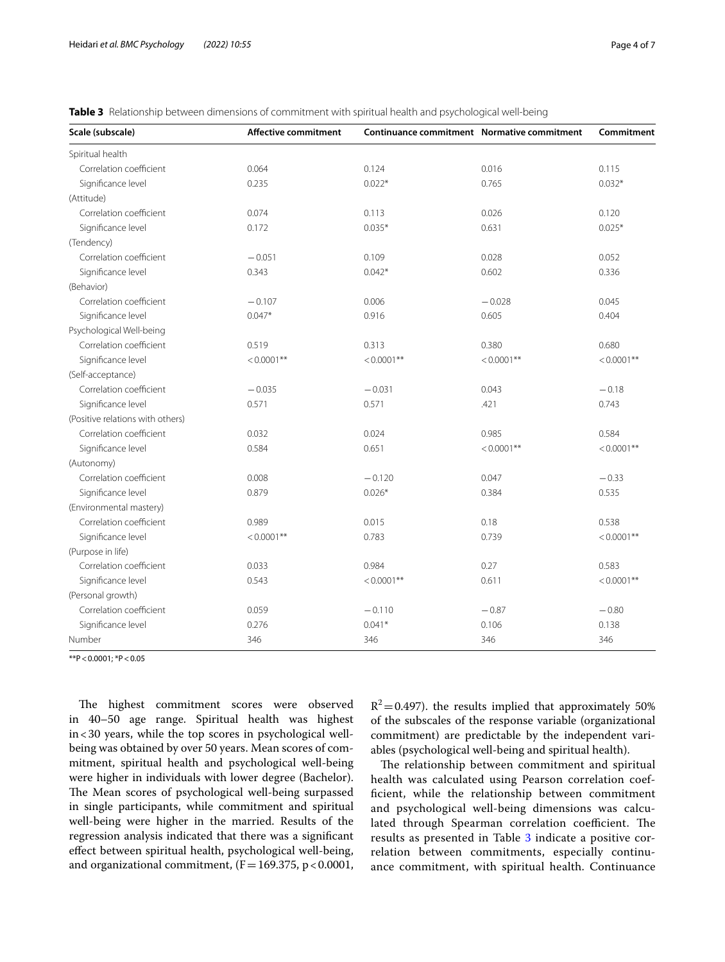| Scale (subscale)                 | <b>Affective commitment</b> | Continuance commitment Normative commitment |               | Commitment    |
|----------------------------------|-----------------------------|---------------------------------------------|---------------|---------------|
| Spiritual health                 |                             |                                             |               |               |
| Correlation coefficient          | 0.064                       | 0.124                                       | 0.016         | 0.115         |
| Significance level               | 0.235                       | $0.022*$                                    | 0.765         | $0.032*$      |
| (Attitude)                       |                             |                                             |               |               |
| Correlation coefficient          | 0.074                       | 0.113                                       | 0.026         | 0.120         |
| Significance level               | 0.172                       | $0.035*$                                    | 0.631         | $0.025*$      |
| (Tendency)                       |                             |                                             |               |               |
| Correlation coefficient          | $-0.051$                    | 0.109                                       | 0.028         | 0.052         |
| Significance level               | 0.343                       | $0.042*$                                    | 0.602         | 0.336         |
| (Behavior)                       |                             |                                             |               |               |
| Correlation coefficient          | $-0.107$                    | 0.006                                       | $-0.028$      | 0.045         |
| Significance level               | $0.047*$                    | 0.916                                       | 0.605         | 0.404         |
| Psychological Well-being         |                             |                                             |               |               |
| Correlation coefficient          | 0.519                       | 0.313                                       | 0.380         | 0.680         |
| Significance level               | $< 0.0001**$                | $< 0.0001**$                                | $< 0.0001**$  | $< 0.0001$ ** |
| (Self-acceptance)                |                             |                                             |               |               |
| Correlation coefficient          | $-0.035$                    | $-0.031$                                    | 0.043         | $-0.18$       |
| Significance level               | 0.571                       | 0.571                                       | .421          | 0.743         |
| (Positive relations with others) |                             |                                             |               |               |
| Correlation coefficient          | 0.032                       | 0.024                                       | 0.985         | 0.584         |
| Significance level               | 0.584                       | 0.651                                       | $< 0.0001$ ** | $< 0.0001$ ** |
| (Autonomy)                       |                             |                                             |               |               |
| Correlation coefficient          | 0.008                       | $-0.120$                                    | 0.047         | $-0.33$       |
| Significance level               | 0.879                       | $0.026*$                                    | 0.384         | 0.535         |
| (Environmental mastery)          |                             |                                             |               |               |
| Correlation coefficient          | 0.989                       | 0.015                                       | 0.18          | 0.538         |
| Significance level               | $< 0.0001**$                | 0.783                                       | 0.739         | $< 0.0001$ ** |
| (Purpose in life)                |                             |                                             |               |               |
| Correlation coefficient          | 0.033                       | 0.984                                       | 0.27          | 0.583         |
| Significance level               | 0.543                       | $< 0.0001**$                                | 0.611         | $< 0.0001$ ** |
| (Personal growth)                |                             |                                             |               |               |
| Correlation coefficient          | 0.059                       | $-0.110$                                    | $-0.87$       | $-0.80$       |
| Significance level               | 0.276                       | $0.041*$                                    | 0.106         | 0.138         |
| Number                           | 346                         | 346                                         | 346           | 346           |

<span id="page-3-0"></span>**Table 3** Relationship between dimensions of commitment with spiritual health and psychological well-being

 $*p$  < 0.0001; \*P < 0.05

The highest commitment scores were observed in 40–50 age range. Spiritual health was highest in<30 years, while the top scores in psychological wellbeing was obtained by over 50 years. Mean scores of commitment, spiritual health and psychological well-being were higher in individuals with lower degree (Bachelor). The Mean scores of psychological well-being surpassed in single participants, while commitment and spiritual well-being were higher in the married. Results of the regression analysis indicated that there was a signifcant efect between spiritual health, psychological well-being, and organizational commitment,  $(F=169.375, p<0.0001,$   $R^2$ =0.497). the results implied that approximately 50% of the subscales of the response variable (organizational commitment) are predictable by the independent variables (psychological well-being and spiritual health).

The relationship between commitment and spiritual health was calculated using Pearson correlation coeffcient, while the relationship between commitment and psychological well-being dimensions was calculated through Spearman correlation coefficient. The results as presented in Table [3](#page-3-0) indicate a positive correlation between commitments, especially continuance commitment, with spiritual health. Continuance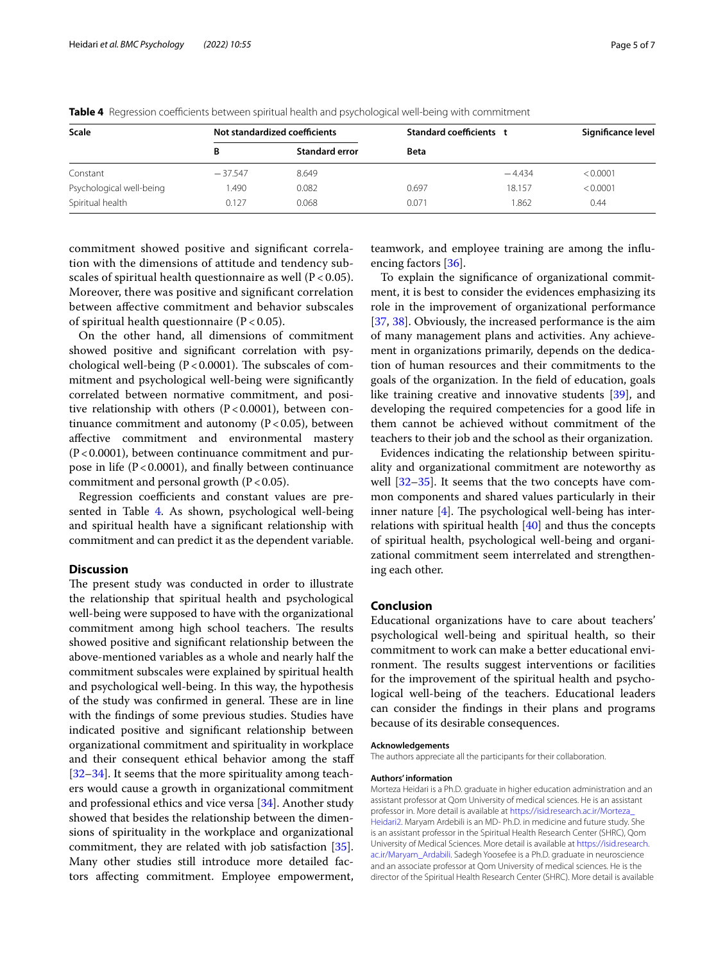| <b>Scale</b>             | Not standardized coefficients |                       | Standard coefficients t |          | Significance level |  |
|--------------------------|-------------------------------|-----------------------|-------------------------|----------|--------------------|--|
|                          | в                             | <b>Standard error</b> | <b>Beta</b>             |          |                    |  |
| Constant                 | $-37.547$                     | 8.649                 |                         | $-4.434$ | < 0.0001           |  |
| Psychological well-being | .490                          | 0.082                 | 0.697                   | 18.157   | < 0.0001           |  |
| Spiritual health         | 0.127                         | 0.068                 | 0.071                   | 1.862    | 0.44               |  |

<span id="page-4-0"></span>**Table 4** Regression coefficients between spiritual health and psychological well-being with commitment

commitment showed positive and signifcant correlation with the dimensions of attitude and tendency subscales of spiritual health questionnaire as well  $(P < 0.05)$ . Moreover, there was positive and signifcant correlation between afective commitment and behavior subscales of spiritual health questionnaire ( $P < 0.05$ ).

On the other hand, all dimensions of commitment showed positive and signifcant correlation with psychological well-being  $(P < 0.0001)$ . The subscales of commitment and psychological well-being were signifcantly correlated between normative commitment, and positive relationship with others  $(P<0.0001)$ , between continuance commitment and autonomy  $(P < 0.05)$ , between afective commitment and environmental mastery  $(P<0.0001)$ , between continuance commitment and purpose in life  $(P < 0.0001)$ , and finally between continuance commitment and personal growth  $(P < 0.05)$ .

Regression coefficients and constant values are pre-sented in Table [4](#page-4-0). As shown, psychological well-being and spiritual health have a signifcant relationship with commitment and can predict it as the dependent variable.

## **Discussion**

The present study was conducted in order to illustrate the relationship that spiritual health and psychological well-being were supposed to have with the organizational commitment among high school teachers. The results showed positive and signifcant relationship between the above-mentioned variables as a whole and nearly half the commitment subscales were explained by spiritual health and psychological well-being. In this way, the hypothesis of the study was confirmed in general. These are in line with the fndings of some previous studies. Studies have indicated positive and signifcant relationship between organizational commitment and spirituality in workplace and their consequent ethical behavior among the staf [[32–](#page-6-2)[34](#page-6-3)]. It seems that the more spirituality among teachers would cause a growth in organizational commitment and professional ethics and vice versa [\[34](#page-6-3)]. Another study showed that besides the relationship between the dimensions of spirituality in the workplace and organizational commitment, they are related with job satisfaction [\[35](#page-6-4)]. Many other studies still introduce more detailed factors afecting commitment. Employee empowerment,

teamwork, and employee training are among the infuencing factors [[36](#page-6-5)].

To explain the signifcance of organizational commitment, it is best to consider the evidences emphasizing its role in the improvement of organizational performance [[37,](#page-6-6) [38](#page-6-7)]. Obviously, the increased performance is the aim of many management plans and activities. Any achievement in organizations primarily, depends on the dedication of human resources and their commitments to the goals of the organization. In the feld of education, goals like training creative and innovative students [[39\]](#page-6-8), and developing the required competencies for a good life in them cannot be achieved without commitment of the teachers to their job and the school as their organization.

Evidences indicating the relationship between spirituality and organizational commitment are noteworthy as well  $[32-35]$  $[32-35]$  $[32-35]$ . It seems that the two concepts have common components and shared values particularly in their inner nature  $[4]$  $[4]$  $[4]$ . The psychological well-being has interrelations with spiritual health [\[40\]](#page-6-9) and thus the concepts of spiritual health, psychological well-being and organizational commitment seem interrelated and strengthening each other.

## **Conclusion**

Educational organizations have to care about teachers' psychological well-being and spiritual health, so their commitment to work can make a better educational environment. The results suggest interventions or facilities for the improvement of the spiritual health and psychological well-being of the teachers. Educational leaders can consider the fndings in their plans and programs because of its desirable consequences.

#### **Acknowledgements**

The authors appreciate all the participants for their collaboration.

#### **Authors' information**

Morteza Heidari is a Ph.D. graduate in higher education administration and an assistant professor at Qom University of medical sciences. He is an assistant professor in. More detail is available at [https://isid.research.ac.ir/Morteza\\_](https://isid.research.ac.ir/Morteza_Heidari2) [Heidari2.](https://isid.research.ac.ir/Morteza_Heidari2) Maryam Ardebili is an MD- Ph.D. in medicine and future study. She is an assistant professor in the Spiritual Health Research Center (SHRC), Qom University of Medical Sciences. More detail is available at [https://isid.research.](https://isid.research.ac.ir/Maryam_Ardabili) [ac.ir/Maryam\\_Ardabili](https://isid.research.ac.ir/Maryam_Ardabili). Sadegh Yoosefee is a Ph.D. graduate in neuroscience and an associate professor at Qom University of medical sciences. He is the director of the Spiritual Health Research Center (SHRC). More detail is available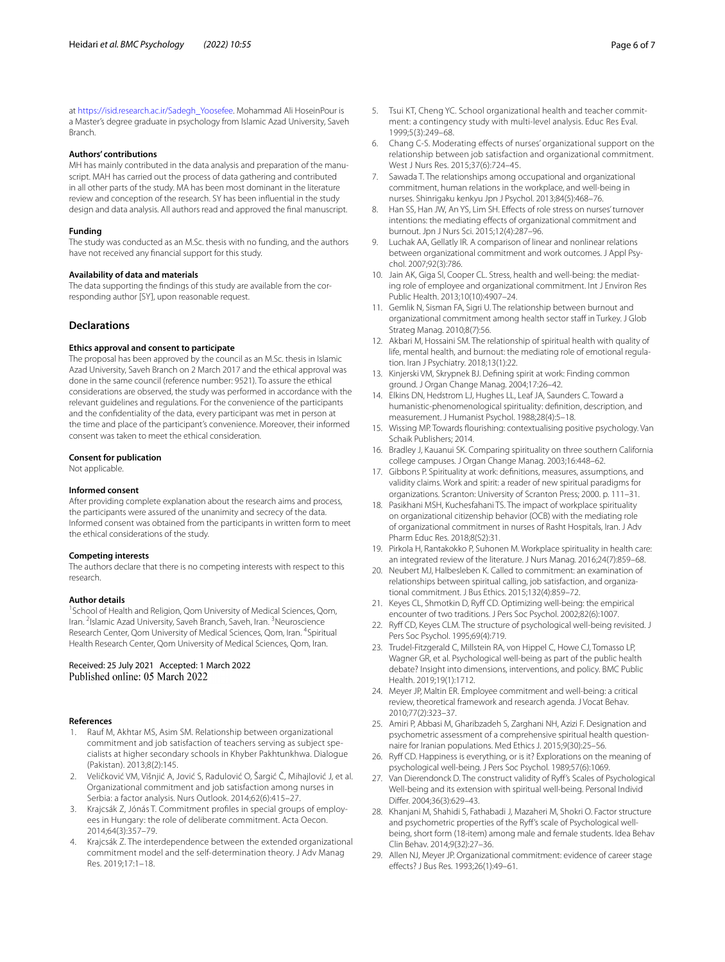at [https://isid.research.ac.ir/Sadegh\\_Yoosefee.](https://isid.research.ac.ir/Sadegh_Yoosefee) Mohammad Ali HoseinPour is a Master's degree graduate in psychology from Islamic Azad University, Saveh Branch.

#### **Authors' contributions**

MH has mainly contributed in the data analysis and preparation of the manuscript. MAH has carried out the process of data gathering and contributed in all other parts of the study. MA has been most dominant in the literature review and conception of the research. SY has been infuential in the study design and data analysis. All authors read and approved the fnal manuscript.

#### **Funding**

The study was conducted as an M.Sc. thesis with no funding, and the authors have not received any fnancial support for this study.

#### **Availability of data and materials**

The data supporting the fndings of this study are available from the corresponding author [SY], upon reasonable request.

#### **Declarations**

#### **Ethics approval and consent to participate**

The proposal has been approved by the council as an M.Sc. thesis in Islamic Azad University, Saveh Branch on 2 March 2017 and the ethical approval was done in the same council (reference number: 9521). To assure the ethical considerations are observed, the study was performed in accordance with the relevant guidelines and regulations. For the convenience of the participants and the confdentiality of the data, every participant was met in person at the time and place of the participant's convenience. Moreover, their informed consent was taken to meet the ethical consideration.

#### **Consent for publication**

Not applicable.

#### **Informed consent**

After providing complete explanation about the research aims and process, the participants were assured of the unanimity and secrecy of the data. Informed consent was obtained from the participants in written form to meet the ethical considerations of the study.

#### **Competing interests**

The authors declare that there is no competing interests with respect to this research.

#### **Author details**

<sup>1</sup> School of Health and Religion, Qom University of Medical Sciences, Qom, Iran. <sup>2</sup> Islamic Azad University, Saveh Branch, Saveh, Iran. <sup>3</sup> Neuroscience Research Center, Qom University of Medical Sciences, Qom, Iran. <sup>4</sup>Spiritual Health Research Center, Qom University of Medical Sciences, Qom, Iran.

Received: 25 July 2021 Accepted: 1 March 2022<br>Published online: 05 March 2022

### **References**

- <span id="page-5-0"></span>1. Rauf M, Akhtar MS, Asim SM. Relationship between organizational commitment and job satisfaction of teachers serving as subject specialists at higher secondary schools in Khyber Pakhtunkhwa. Dialogue (Pakistan). 2013;8(2):145.
- <span id="page-5-1"></span>2. Veličković VM, Višnjić A, Jović S, Radulović O, Šargić Č, Mihajlović J, et al. Organizational commitment and job satisfaction among nurses in Serbia: a factor analysis. Nurs Outlook. 2014;62(6):415–27.
- <span id="page-5-2"></span>3. Krajcsák Z, Jónás T. Commitment profles in special groups of employees in Hungary: the role of deliberate commitment. Acta Oecon. 2014;64(3):357–79.
- <span id="page-5-3"></span>4. Krajcsák Z. The interdependence between the extended organizational commitment model and the self-determination theory. J Adv Manag Res. 2019;17:1–18.
- <span id="page-5-4"></span>5. Tsui KT, Cheng YC. School organizational health and teacher commitment: a contingency study with multi-level analysis. Educ Res Eval. 1999;5(3):249–68.
- <span id="page-5-5"></span>6. Chang C-S. Moderating efects of nurses' organizational support on the relationship between job satisfaction and organizational commitment. West J Nurs Res. 2015;37(6):724–45.
- <span id="page-5-6"></span>7. Sawada T. The relationships among occupational and organizational commitment, human relations in the workplace, and well-being in nurses. Shinrigaku kenkyu Jpn J Psychol. 2013;84(5):468–76.
- <span id="page-5-7"></span>8. Han SS, Han JW, An YS, Lim SH. Efects of role stress on nurses' turnover intentions: the mediating efects of organizational commitment and burnout. Jpn J Nurs Sci. 2015;12(4):287–96.
- <span id="page-5-8"></span>9. Luchak AA, Gellatly IR. A comparison of linear and nonlinear relations between organizational commitment and work outcomes. J Appl Psychol. 2007;92(3):786.
- <span id="page-5-9"></span>10. Jain AK, Giga SI, Cooper CL. Stress, health and well-being: the mediating role of employee and organizational commitment. Int J Environ Res Public Health. 2013;10(10):4907–24.
- <span id="page-5-10"></span>11. Gemlik N, Sisman FA, Sigri U. The relationship between burnout and organizational commitment among health sector staff in Turkey. J Glob Strateg Manag. 2010;8(7):56.
- <span id="page-5-11"></span>12. Akbari M, Hossaini SM. The relationship of spiritual health with quality of life, mental health, and burnout: the mediating role of emotional regulation. Iran J Psychiatry. 2018;13(1):22.
- <span id="page-5-12"></span>13. Kinjerski VM, Skrypnek BJ. Defning spirit at work: Finding common ground. J Organ Change Manag. 2004;17:26–42.
- <span id="page-5-13"></span>14. Elkins DN, Hedstrom LJ, Hughes LL, Leaf JA, Saunders C. Toward a humanistic-phenomenological spirituality: defnition, description, and measurement. J Humanist Psychol. 1988;28(4):5–18.
- <span id="page-5-14"></span>15. Wissing MP. Towards fourishing: contextualising positive psychology. Van Schaik Publishers; 2014.
- <span id="page-5-15"></span>16. Bradley J, Kauanui SK. Comparing spirituality on three southern California college campuses. J Organ Change Manag. 2003;16:448–62.
- <span id="page-5-16"></span>17. Gibbons P. Spirituality at work: defnitions, measures, assumptions, and validity claims. Work and spirit: a reader of new spiritual paradigms for organizations. Scranton: University of Scranton Press; 2000. p. 111–31.
- <span id="page-5-17"></span>18. Pasikhani MSH, Kuchesfahani TS. The impact of workplace spirituality on organizational citizenship behavior (OCB) with the mediating role of organizational commitment in nurses of Rasht Hospitals, Iran. J Adv Pharm Educ Res. 2018;8(S2):31.
- <span id="page-5-18"></span>19. Pirkola H, Rantakokko P, Suhonen M. Workplace spirituality in health care: an integrated review of the literature. J Nurs Manag. 2016;24(7):859–68.
- <span id="page-5-19"></span>20. Neubert MJ, Halbesleben K. Called to commitment: an examination of relationships between spiritual calling, job satisfaction, and organizational commitment. J Bus Ethics. 2015;132(4):859–72.
- <span id="page-5-20"></span>21. Keyes CL, Shmotkin D, Ryff CD. Optimizing well-being: the empirical encounter of two traditions. J Pers Soc Psychol. 2002;82(6):1007.
- <span id="page-5-21"></span>22. Ryff CD, Keyes CLM. The structure of psychological well-being revisited. J Pers Soc Psychol. 1995;69(4):719.
- <span id="page-5-22"></span>23. Trudel-Fitzgerald C, Millstein RA, von Hippel C, Howe CJ, Tomasso LP, Wagner GR, et al. Psychological well-being as part of the public health debate? Insight into dimensions, interventions, and policy. BMC Public Health. 2019;19(1):1712.
- <span id="page-5-23"></span>24. Meyer JP, Maltin ER. Employee commitment and well-being: a critical review, theoretical framework and research agenda. J Vocat Behav. 2010;77(2):323–37.
- <span id="page-5-24"></span>25. Amiri P, Abbasi M, Gharibzadeh S, Zarghani NH, Azizi F. Designation and psychometric assessment of a comprehensive spiritual health questionnaire for Iranian populations. Med Ethics J. 2015;9(30):25–56.
- <span id="page-5-25"></span>26. Ryff CD. Happiness is everything, or is it? Explorations on the meaning of psychological well-being. J Pers Soc Psychol. 1989;57(6):1069.
- <span id="page-5-26"></span>27. Van Dierendonck D. The construct validity of Ryf's Scales of Psychological Well-being and its extension with spiritual well-being. Personal Individ Difer. 2004;36(3):629–43.
- <span id="page-5-27"></span>28. Khanjani M, Shahidi S, Fathabadi J, Mazaheri M, Shokri O. Factor structure and psychometric properties of the Ryf's scale of Psychological wellbeing, short form (18-item) among male and female students. Idea Behav Clin Behav. 2014;9(32):27–36.
- <span id="page-5-28"></span>29. Allen NJ, Meyer JP. Organizational commitment: evidence of career stage efects? J Bus Res. 1993;26(1):49–61.